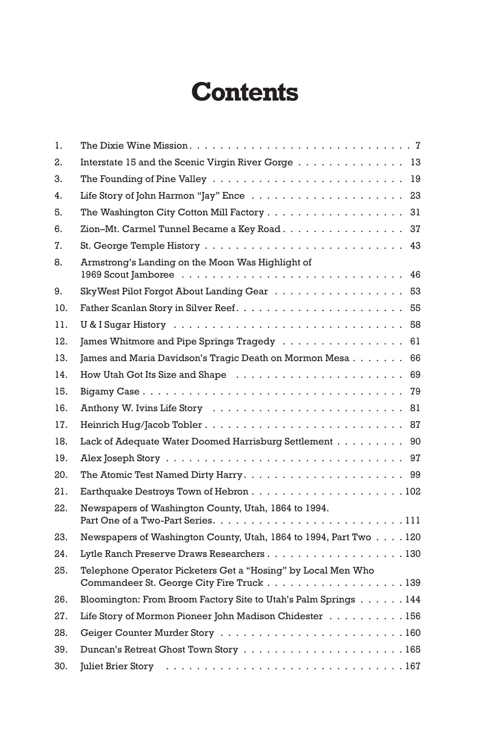## **Contents**

| 1.  |                                                                                                           |
|-----|-----------------------------------------------------------------------------------------------------------|
| 2.  | Interstate 15 and the Scenic Virgin River Gorge 13                                                        |
| 3.  |                                                                                                           |
| 4.  |                                                                                                           |
| 5.  | The Washington City Cotton Mill Factory 31                                                                |
| 6.  | Zion-Mt. Carmel Tunnel Became a Key Road. 37                                                              |
| 7.  |                                                                                                           |
| 8.  | Armstrong's Landing on the Moon Was Highlight of                                                          |
| 9.  | Sky West Pilot Forgot About Landing Gear 53                                                               |
| 10. |                                                                                                           |
| 11. |                                                                                                           |
| 12. | James Whitmore and Pipe Springs Tragedy 61                                                                |
| 13. | James and Maria Davidson's Tragic Death on Mormon Mesa 66                                                 |
| 14. |                                                                                                           |
| 15. |                                                                                                           |
| 16. |                                                                                                           |
| 17. |                                                                                                           |
| 18. | Lack of Adequate Water Doomed Harrisburg Settlement 90                                                    |
| 19. |                                                                                                           |
| 20. |                                                                                                           |
| 21. |                                                                                                           |
| 22. | Newspapers of Washington County, Utah, 1864 to 1994.                                                      |
| 23. | Newspapers of Washington County, Utah, 1864 to 1994, Part Two 120                                         |
| 24. | Lytle Ranch Preserve Draws Researchers130                                                                 |
| 25. | Telephone Operator Picketers Get a "Hosing" by Local Men Who<br>Commandeer St. George City Fire Truck 139 |
| 26. | Bloomington: From Broom Factory Site to Utah's Palm Springs 144                                           |
| 27. | Life Story of Mormon Pioneer John Madison Chidester 156                                                   |
| 28. |                                                                                                           |
| 39. |                                                                                                           |
| 30. |                                                                                                           |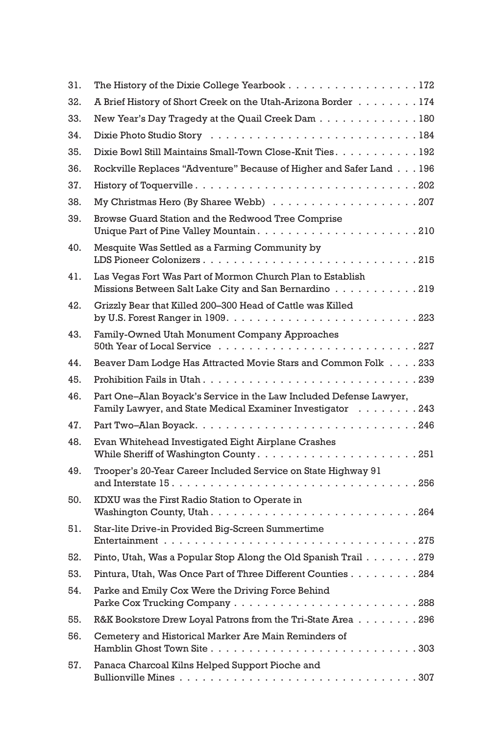| 31. | The History of the Dixie College Yearbook 172                                                                                    |
|-----|----------------------------------------------------------------------------------------------------------------------------------|
| 32. | A Brief History of Short Creek on the Utah-Arizona Border 174                                                                    |
| 33. | New Year's Day Tragedy at the Quail Creek Dam 180                                                                                |
| 34. |                                                                                                                                  |
| 35. | Dixie Bowl Still Maintains Small-Town Close-Knit Ties. 192                                                                       |
| 36. | Rockville Replaces "Adventure" Because of Higher and Safer Land 196                                                              |
| 37. |                                                                                                                                  |
| 38. |                                                                                                                                  |
| 39. | Browse Guard Station and the Redwood Tree Comprise<br>Unique Part of Pine Valley Mountain210                                     |
| 40. | Mesquite Was Settled as a Farming Community by<br>LDS Pioneer Colonizers215                                                      |
| 41. | Las Vegas Fort Was Part of Mormon Church Plan to Establish<br>Missions Between Salt Lake City and San Bernardino 219             |
| 42. | Grizzly Bear that Killed 200–300 Head of Cattle was Killed                                                                       |
| 43. | Family-Owned Utah Monument Company Approaches                                                                                    |
| 44. | Beaver Dam Lodge Has Attracted Movie Stars and Common Folk 233                                                                   |
| 45. | Prohibition Fails in Utah239                                                                                                     |
| 46. | Part One–Alan Boyack's Service in the Law Included Defense Lawyer,<br>Family Lawyer, and State Medical Examiner Investigator 243 |
| 47. |                                                                                                                                  |
| 48. | Evan Whitehead Investigated Eight Airplane Crashes                                                                               |
| 49. | Trooper's 20-Year Career Included Service on State Highway 91                                                                    |
| 50. | KDXU was the First Radio Station to Operate in                                                                                   |
| 51. | Star-lite Drive-in Provided Big-Screen Summertime                                                                                |
| 52. | Pinto, Utah, Was a Popular Stop Along the Old Spanish Trail 279                                                                  |
| 53. | Pintura, Utah, Was Once Part of Three Different Counties 284                                                                     |
| 54. | Parke and Emily Cox Were the Driving Force Behind                                                                                |
| 55. | R&K Bookstore Drew Loyal Patrons from the Tri-State Area 296                                                                     |
| 56. | Cemetery and Historical Marker Are Main Reminders of                                                                             |
| 57. | Panaca Charcoal Kilns Helped Support Pioche and                                                                                  |